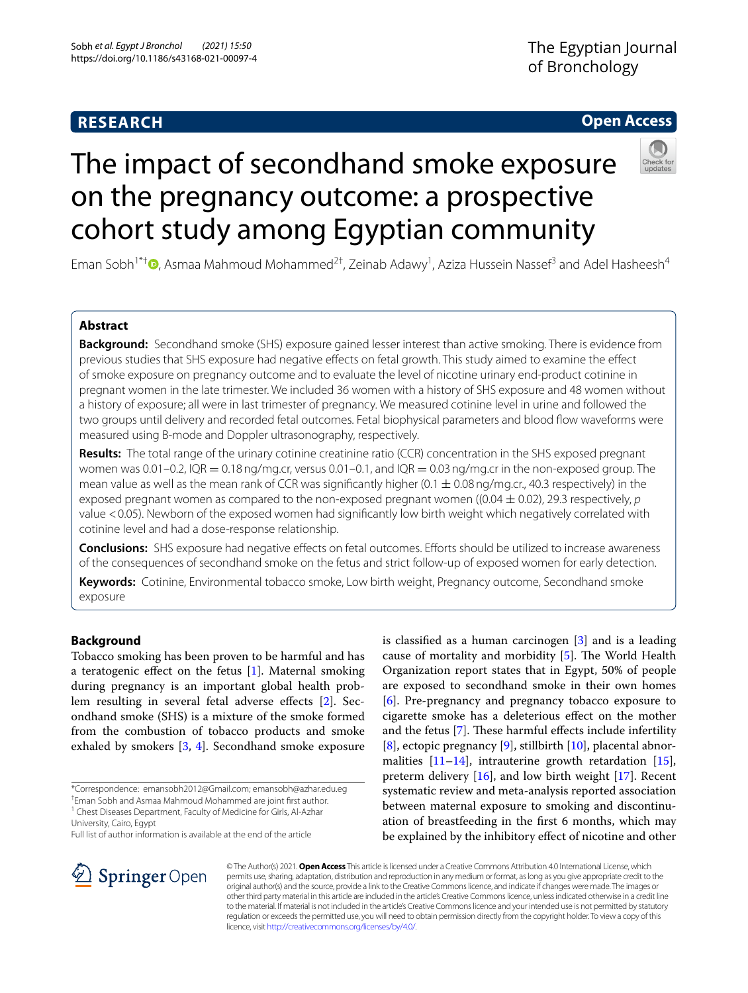# **RESEARCH**

# **Open Access**



# The impact of secondhand smoke exposure on the pregnancy outcome: a prospective cohort study among Egyptian community

Eman Sobh<sup>1\*†</sup> <sup>(D</sup>[,](http://orcid.org/0000-0002-3458-8696) Asmaa Mahmoud Mohammed<sup>2†</sup>, Zeinab Adawy<sup>1</sup>, Aziza Hussein Nassef<sup>3</sup> and Adel Hasheesh<sup>4</sup>

# **Abstract**

**Background:** Secondhand smoke (SHS) exposure gained lesser interest than active smoking. There is evidence from previous studies that SHS exposure had negative effects on fetal growth. This study aimed to examine the effect of smoke exposure on pregnancy outcome and to evaluate the level of nicotine urinary end-product cotinine in pregnant women in the late trimester. We included 36 women with a history of SHS exposure and 48 women without a history of exposure; all were in last trimester of pregnancy. We measured cotinine level in urine and followed the two groups until delivery and recorded fetal outcomes. Fetal biophysical parameters and blood fow waveforms were measured using B-mode and Doppler ultrasonography, respectively.

**Results:** The total range of the urinary cotinine creatinine ratio (CCR) concentration in the SHS exposed pregnant women was  $0.01-0.2$ , IQR =  $0.18$  ng/mg.cr, versus  $0.01-0.1$ , and IQR =  $0.03$  ng/mg.cr in the non-exposed group. The mean value as well as the mean rank of CCR was significantly higher  $(0.1 \pm 0.08$  ng/mg.cr., 40.3 respectively) in the exposed pregnant women as compared to the non-exposed pregnant women ((0.04 ± 0.02), 29.3 respectively, *p* value <0.05). Newborn of the exposed women had signifcantly low birth weight which negatively correlated with cotinine level and had a dose-response relationship.

**Conclusions:** SHS exposure had negative efects on fetal outcomes. Eforts should be utilized to increase awareness of the consequences of secondhand smoke on the fetus and strict follow-up of exposed women for early detection.

**Keywords:** Cotinine, Environmental tobacco smoke, Low birth weight, Pregnancy outcome, Secondhand smoke exposure

# **Background**

Tobacco smoking has been proven to be harmful and has a teratogenic effect on the fetus  $[1]$  $[1]$ . Maternal smoking during pregnancy is an important global health prob-lem resulting in several fetal adverse effects [[2](#page-5-1)]. Secondhand smoke (SHS) is a mixture of the smoke formed from the combustion of tobacco products and smoke exhaled by smokers [\[3](#page-5-2), [4\]](#page-5-3). Secondhand smoke exposure

\*Correspondence: emansobh2012@Gmail.com; emansobh@azhar.edu.eg

† Eman Sobh and Asmaa Mahmoud Mohammed are joint frst author. <sup>1</sup> Chest Diseases Department, Faculty of Medicine for Girls, Al-Azhar

Full list of author information is available at the end of the article

is classifed as a human carcinogen [\[3\]](#page-5-2) and is a leading cause of mortality and morbidity  $[5]$  $[5]$ . The World Health Organization report states that in Egypt, 50% of people are exposed to secondhand smoke in their own homes [[6\]](#page-5-5). Pre-pregnancy and pregnancy tobacco exposure to cigarette smoke has a deleterious efect on the mother and the fetus [[7\]](#page-5-6). These harmful effects include infertility [[8\]](#page-5-7), ectopic pregnancy [\[9](#page-5-8)], stillbirth [\[10](#page-5-9)], placental abnormalities  $[11-14]$  $[11-14]$ , intrauterine growth retardation  $[15]$  $[15]$ , preterm delivery [[16\]](#page-5-13), and low birth weight [[17\]](#page-5-14). Recent systematic review and meta-analysis reported association between maternal exposure to smoking and discontinuation of breastfeeding in the frst 6 months, which may be explained by the inhibitory efect of nicotine and other



© The Author(s) 2021. **Open Access** This article is licensed under a Creative Commons Attribution 4.0 International License, which permits use, sharing, adaptation, distribution and reproduction in any medium or format, as long as you give appropriate credit to the original author(s) and the source, provide a link to the Creative Commons licence, and indicate if changes were made. The images or other third party material in this article are included in the article's Creative Commons licence, unless indicated otherwise in a credit line to the material. If material is not included in the article's Creative Commons licence and your intended use is not permitted by statutory regulation or exceeds the permitted use, you will need to obtain permission directly from the copyright holder. To view a copy of this licence, visit [http://creativecommons.org/licenses/by/4.0/.](http://creativecommons.org/licenses/by/4.0/)

University, Cairo, Egypt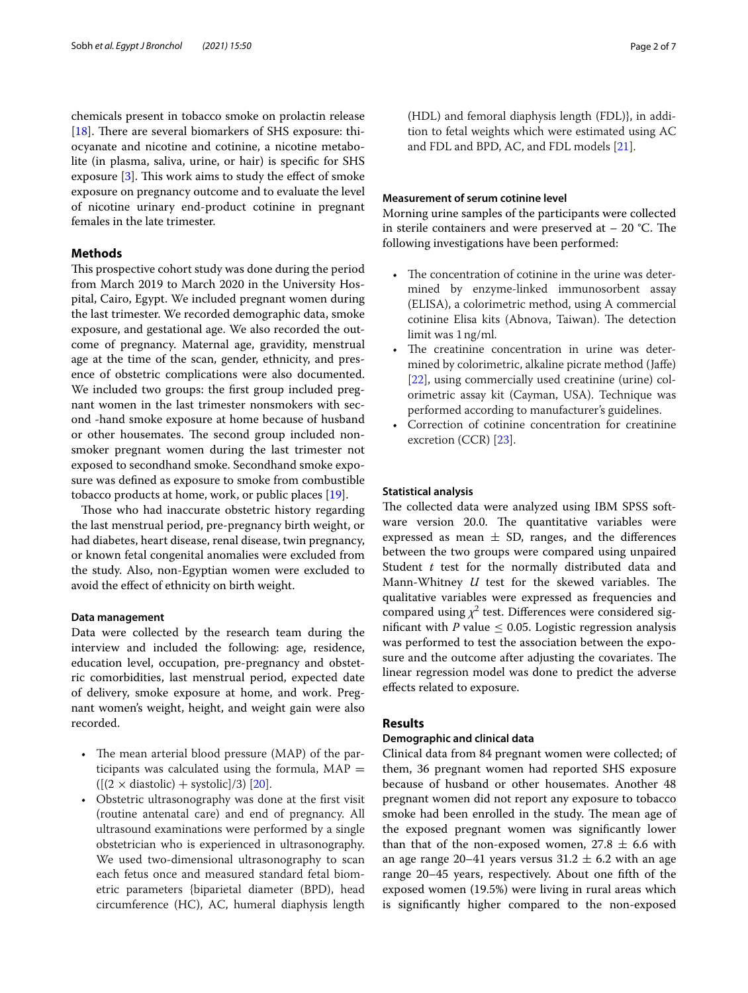chemicals present in tobacco smoke on prolactin release [[18\]](#page-6-0). There are several biomarkers of SHS exposure: thiocyanate and nicotine and cotinine, a nicotine metabolite (in plasma, saliva, urine, or hair) is specifc for SHS exposure  $[3]$  $[3]$ . This work aims to study the effect of smoke exposure on pregnancy outcome and to evaluate the level of nicotine urinary end-product cotinine in pregnant females in the late trimester.

### **Methods**

This prospective cohort study was done during the period from March 2019 to March 2020 in the University Hospital, Cairo, Egypt. We included pregnant women during the last trimester. We recorded demographic data, smoke exposure, and gestational age. We also recorded the outcome of pregnancy. Maternal age, gravidity, menstrual age at the time of the scan, gender, ethnicity, and presence of obstetric complications were also documented. We included two groups: the frst group included pregnant women in the last trimester nonsmokers with second -hand smoke exposure at home because of husband or other housemates. The second group included nonsmoker pregnant women during the last trimester not exposed to secondhand smoke. Secondhand smoke exposure was defned as exposure to smoke from combustible tobacco products at home, work, or public places [\[19](#page-6-1)].

Those who had inaccurate obstetric history regarding the last menstrual period, pre-pregnancy birth weight, or had diabetes, heart disease, renal disease, twin pregnancy, or known fetal congenital anomalies were excluded from the study. Also, non-Egyptian women were excluded to avoid the efect of ethnicity on birth weight.

#### **Data management**

Data were collected by the research team during the interview and included the following: age, residence, education level, occupation, pre-pregnancy and obstetric comorbidities, last menstrual period, expected date of delivery, smoke exposure at home, and work. Pregnant women's weight, height, and weight gain were also recorded.

- The mean arterial blood pressure (MAP) of the participants was calculated using the formula,  $MAP =$  $([2 \times \text{diastolic}) + \text{systolic}]/3$  [[20](#page-6-2)].
- Obstetric ultrasonography was done at the first visit (routine antenatal care) and end of pregnancy. All ultrasound examinations were performed by a single obstetrician who is experienced in ultrasonography. We used two-dimensional ultrasonography to scan each fetus once and measured standard fetal biometric parameters {biparietal diameter (BPD), head circumference (HC), AC, humeral diaphysis length

(HDL) and femoral diaphysis length (FDL)}, in addition to fetal weights which were estimated using AC and FDL and BPD, AC, and FDL models [[21](#page-6-3)].

#### **Measurement of serum cotinine level**

Morning urine samples of the participants were collected in sterile containers and were preserved at  $-20$  °C. The following investigations have been performed:

- The concentration of cotinine in the urine was determined by enzyme-linked immunosorbent assay (ELISA), a colorimetric method, using A commercial cotinine Elisa kits (Abnova, Taiwan). The detection limit was 1ng/ml.
- The creatinine concentration in urine was determined by colorimetric, alkaline picrate method (Jafe) [[22\]](#page-6-4), using commercially used creatinine (urine) colorimetric assay kit (Cayman, USA). Technique was performed according to manufacturer's guidelines.
- Correction of cotinine concentration for creatinine excretion (CCR) [\[23\]](#page-6-5).

#### **Statistical analysis**

The collected data were analyzed using IBM SPSS software version 20.0. The quantitative variables were expressed as mean  $\pm$  SD, ranges, and the differences between the two groups were compared using unpaired Student *t* test for the normally distributed data and Mann-Whitney  $U$  test for the skewed variables. The qualitative variables were expressed as frequencies and compared using  $\chi^2$  test. Differences were considered significant with *P* value  $\leq$  0.05. Logistic regression analysis was performed to test the association between the exposure and the outcome after adjusting the covariates. The linear regression model was done to predict the adverse efects related to exposure.

#### **Results**

#### **Demographic and clinical data**

Clinical data from 84 pregnant women were collected; of them, 36 pregnant women had reported SHS exposure because of husband or other housemates. Another 48 pregnant women did not report any exposure to tobacco smoke had been enrolled in the study. The mean age of the exposed pregnant women was signifcantly lower than that of the non-exposed women,  $27.8 \pm 6.6$  with an age range 20–41 years versus  $31.2 \pm 6.2$  with an age range 20–45 years, respectively. About one ffth of the exposed women (19.5%) were living in rural areas which is signifcantly higher compared to the non-exposed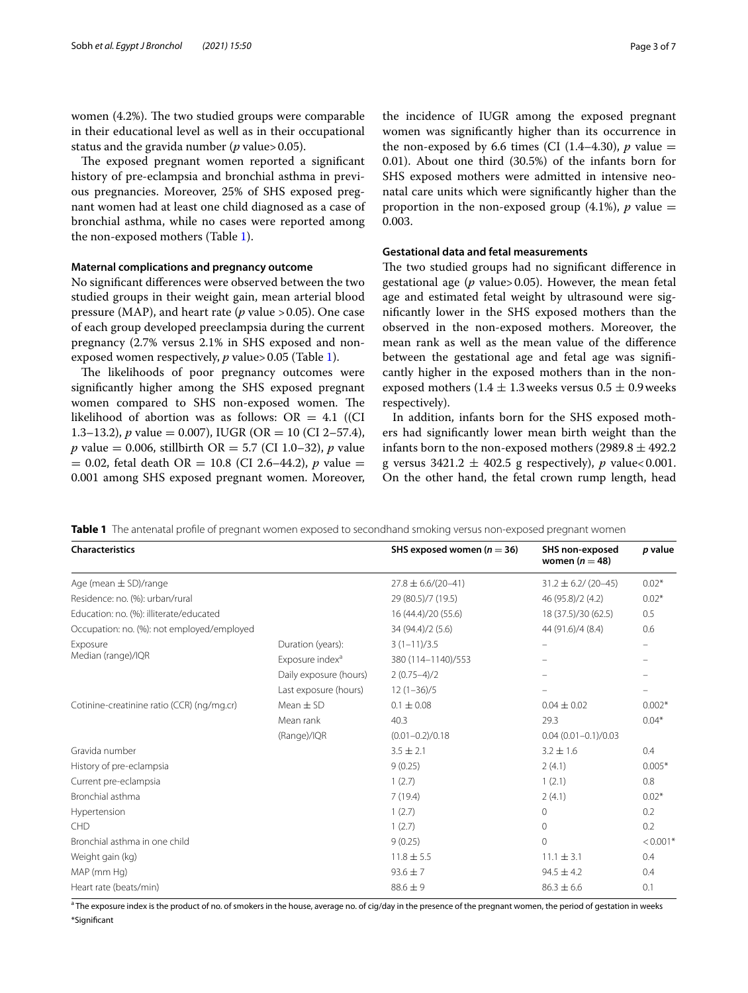women  $(4.2%)$ . The two studied groups were comparable in their educational level as well as in their occupational status and the gravida number (*p* value>0.05).

The exposed pregnant women reported a significant history of pre-eclampsia and bronchial asthma in previous pregnancies. Moreover, 25% of SHS exposed pregnant women had at least one child diagnosed as a case of bronchial asthma, while no cases were reported among the non-exposed mothers (Table [1\)](#page-2-0).

#### **Maternal complications and pregnancy outcome**

No signifcant diferences were observed between the two studied groups in their weight gain, mean arterial blood pressure (MAP), and heart rate (*p* value >0.05). One case of each group developed preeclampsia during the current pregnancy (2.7% versus 2.1% in SHS exposed and nonexposed women respectively, *p* value> 0.05 (Table [1\)](#page-2-0).

The likelihoods of poor pregnancy outcomes were signifcantly higher among the SHS exposed pregnant women compared to SHS non-exposed women. The likelihood of abortion was as follows:  $OR = 4.1$  ((CI) 1.3–13.2), *p* value = 0.007), IUGR (OR = 10 (CI 2–57.4), *p* value = 0.006, stillbirth OR = 5.7 (CI 1.0–32), *p* value  $= 0.02$ , fetal death OR  $= 10.8$  (CI 2.6–44.2), *p* value  $=$ 0.001 among SHS exposed pregnant women. Moreover, SHS exposed mothers were admitted in intensive neonatal care units which were signifcantly higher than the proportion in the non-exposed group  $(4.1\%)$ , *p* value = 0.003.

#### **Gestational data and fetal measurements**

The two studied groups had no significant difference in gestational age (*p* value>0.05). However, the mean fetal age and estimated fetal weight by ultrasound were signifcantly lower in the SHS exposed mothers than the observed in the non-exposed mothers. Moreover, the mean rank as well as the mean value of the diference between the gestational age and fetal age was signifcantly higher in the exposed mothers than in the nonexposed mothers (1.4  $\pm$  1.3 weeks versus 0.5  $\pm$  0.9 weeks respectively).

In addition, infants born for the SHS exposed mothers had signifcantly lower mean birth weight than the infants born to the non-exposed mothers (2989.8  $\pm$  492.2 g versus  $3421.2 \pm 402.5$  g respectively), *p* value<0.001. On the other hand, the fetal crown rump length, head

<span id="page-2-0"></span>**Table 1** The antenatal profle of pregnant women exposed to secondhand smoking versus non-exposed pregnant women

| <b>Characteristics</b>                     |                             | SHS exposed women ( $n = 36$ ) | SHS non-exposed<br>women ( $n = 48$ ) | p value    |
|--------------------------------------------|-----------------------------|--------------------------------|---------------------------------------|------------|
| Age (mean $\pm$ SD)/range                  |                             | $27.8 \pm 6.6/(20 - 41)$       | $31.2 \pm 6.2 / (20 - 45)$            | $0.02*$    |
| Residence: no. (%): urban/rural            |                             | 29 (80.5)/7 (19.5)             | 46 (95.8)/2 (4.2)                     | $0.02*$    |
| Education: no. (%): illiterate/educated    |                             | 16 (44.4)/20 (55.6)            | 18 (37.5)/30 (62.5)                   | 0.5        |
| Occupation: no. (%): not employed/employed |                             | 34 (94.4)/2 (5.6)              | 44 (91.6)/4 (8.4)                     | 0.6        |
| Exposure<br>Median (range)/IQR             | Duration (years):           | $3(1-11)/3.5$                  |                                       |            |
|                                            | Exposure index <sup>a</sup> | 380 (114-1140)/553             |                                       |            |
|                                            | Daily exposure (hours)      | $2(0.75-4)/2$                  |                                       |            |
|                                            | Last exposure (hours)       | $12(1-36)/5$                   |                                       |            |
| Cotinine-creatinine ratio (CCR) (ng/mg.cr) | Mean $\pm$ SD               | $0.1 \pm 0.08$                 | $0.04 \pm 0.02$                       | $0.002*$   |
|                                            | Mean rank                   | 40.3                           | 29.3                                  | $0.04*$    |
|                                            | (Range)/IQR                 | $(0.01 - 0.2)/0.18$            | $0.04(0.01 - 0.1)/0.03$               |            |
| Gravida number                             |                             | $3.5 \pm 2.1$                  | $3.2 \pm 1.6$                         | 0.4        |
| History of pre-eclampsia                   |                             | 9(0.25)                        | 2(4.1)                                | $0.005*$   |
| Current pre-eclampsia                      |                             | 1(2.7)                         | 1(2.1)                                | 0.8        |
| Bronchial asthma                           |                             | 7(19.4)                        | 2(4.1)                                | $0.02*$    |
| Hypertension                               |                             | 1(2.7)                         | $\circ$                               | 0.2        |
| <b>CHD</b>                                 |                             | 1(2.7)                         | $\circ$                               | 0.2        |
| Bronchial asthma in one child              |                             | 9(0.25)                        | $\circ$                               | $< 0.001*$ |
| Weight gain (kg)                           |                             | $11.8 \pm 5.5$                 | $11.1 \pm 3.1$                        | 0.4        |
| MAP (mm Hg)                                |                             | $93.6 \pm 7$                   | $94.5 \pm 4.2$                        | 0.4        |
| Heart rate (beats/min)                     |                             | $88.6 \pm 9$                   | $86.3 \pm 6.6$                        | 0.1        |

<sup>a</sup> The exposure index is the product of no. of smokers in the house, average no. of cig/day in the presence of the pregnant women, the period of gestation in weeks \*Signifcant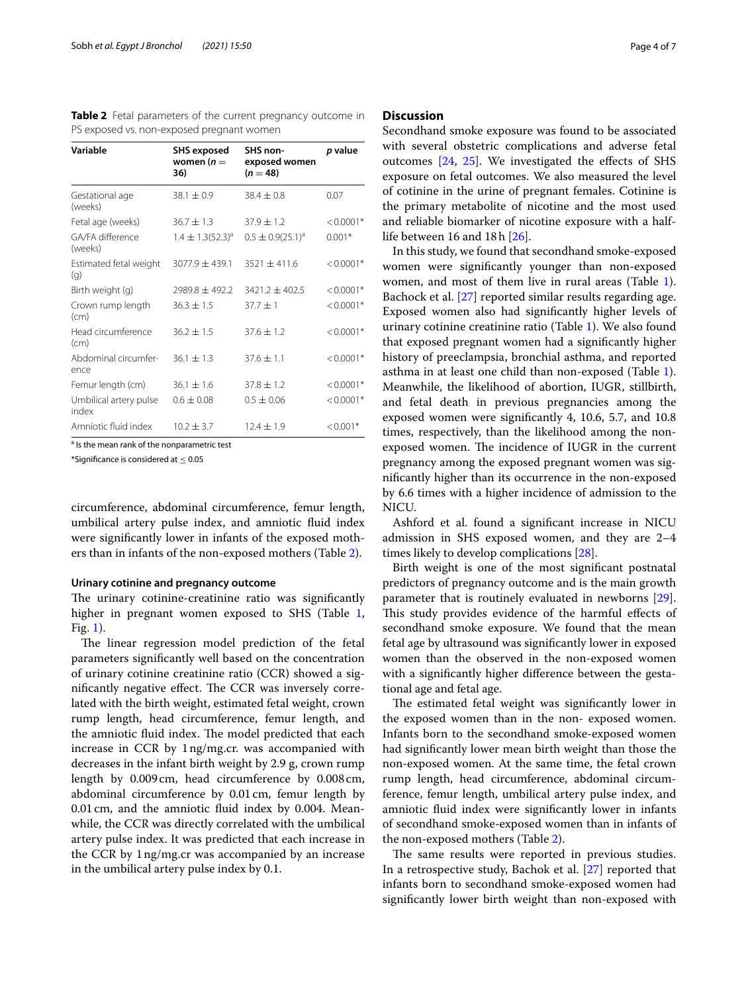<span id="page-3-0"></span>**Table 2** Fetal parameters of the current pregnancy outcome in PS exposed vs. non-exposed pregnant women

| Variable                        | <b>SHS</b> exposed<br>women ( $n =$ | SHS non-<br>exposed women | p value     |
|---------------------------------|-------------------------------------|---------------------------|-------------|
|                                 | 36)                                 | $(n = 48)$                |             |
| Gestational age<br>(weeks)      | $38.1 \pm 0.9$                      | $38.4 \pm 0.8$            | 0.07        |
| Fetal age (weeks)               | $36.7 \pm 1.3$                      | $37.9 + 1.2$              | $< 0.0001*$ |
| GA/FA difference<br>(weeks)     | $1.4 \pm 1.3(52.3)^{a}$             | $0.5 \pm 0.9(25.1)^{a}$   | $0.001*$    |
| Estimated fetal weight<br>(q)   | $3077.9 + 439.1$                    | $3521 + 411.6$            | $< 0.0001*$ |
| Birth weight (g)                | $7989.8 + 492.2$                    | $3421.2 + 402.5$          | $< 0.0001*$ |
| Crown rump length<br>(cm)       | $36.3 \pm 1.5$                      | $37.7 + 1$                | $< 0.0001*$ |
| Head circumference<br>(cm)      | $36.2 \pm 1.5$                      | $37.6 + 1.2$              | $< 0.0001*$ |
| Abdominal circumfer-<br>ence    | $36.1 \pm 1.3$                      | $37.6 + 1.1$              | $< 0.0001*$ |
| Femur length (cm)               | $36.1 \pm 1.6$                      | $37.8 + 1.2$              | $< 0.0001*$ |
| Umbilical artery pulse<br>index | $0.6 \pm 0.08$                      | $0.5 \pm 0.06$            | $< 0.0001*$ |
| Amniotic fluid index            | $10.2 + 3.7$                        | $12.4 \pm 1.9$            | $< 0.001*$  |

<sup>a</sup> Is the mean rank of the nonparametric test

\*Signifcance is considered at ≤ 0.05

circumference, abdominal circumference, femur length, umbilical artery pulse index, and amniotic fuid index were signifcantly lower in infants of the exposed mothers than in infants of the non-exposed mothers (Table [2\)](#page-3-0).

#### **Urinary cotinine and pregnancy outcome**

The urinary cotinine-creatinine ratio was significantly higher in pregnant women exposed to SHS (Table [1](#page-2-0), Fig. [1\)](#page-4-0).

The linear regression model prediction of the fetal parameters signifcantly well based on the concentration of urinary cotinine creatinine ratio (CCR) showed a significantly negative effect. The CCR was inversely correlated with the birth weight, estimated fetal weight, crown rump length, head circumference, femur length, and the amniotic fluid index. The model predicted that each increase in CCR by 1ng/mg.cr. was accompanied with decreases in the infant birth weight by 2.9 g, crown rump length by 0.009cm, head circumference by 0.008cm, abdominal circumference by 0.01cm, femur length by 0.01cm, and the amniotic fuid index by 0.004. Meanwhile, the CCR was directly correlated with the umbilical artery pulse index. It was predicted that each increase in the CCR by 1ng/mg.cr was accompanied by an increase in the umbilical artery pulse index by 0.1.

#### **Discussion**

Secondhand smoke exposure was found to be associated with several obstetric complications and adverse fetal outcomes [\[24,](#page-6-6) [25\]](#page-6-7). We investigated the efects of SHS exposure on fetal outcomes. We also measured the level of cotinine in the urine of pregnant females. Cotinine is the primary metabolite of nicotine and the most used and reliable biomarker of nicotine exposure with a halflife between 16 and 18h [[26\]](#page-6-8).

In this study, we found that secondhand smoke-exposed women were signifcantly younger than non-exposed women, and most of them live in rural areas (Table [1](#page-2-0)). Bachock et al. [\[27](#page-6-9)] reported similar results regarding age. Exposed women also had signifcantly higher levels of urinary cotinine creatinine ratio (Table [1\)](#page-2-0). We also found that exposed pregnant women had a signifcantly higher history of preeclampsia, bronchial asthma, and reported asthma in at least one child than non-exposed (Table [1](#page-2-0)). Meanwhile, the likelihood of abortion, IUGR, stillbirth, and fetal death in previous pregnancies among the exposed women were signifcantly 4, 10.6, 5.7, and 10.8 times, respectively, than the likelihood among the nonexposed women. The incidence of IUGR in the current pregnancy among the exposed pregnant women was signifcantly higher than its occurrence in the non-exposed by 6.6 times with a higher incidence of admission to the NICU.

Ashford et al. found a signifcant increase in NICU admission in SHS exposed women, and they are 2–4 times likely to develop complications [[28\]](#page-6-10).

Birth weight is one of the most signifcant postnatal predictors of pregnancy outcome and is the main growth parameter that is routinely evaluated in newborns [\[29](#page-6-11)]. This study provides evidence of the harmful effects of secondhand smoke exposure. We found that the mean fetal age by ultrasound was signifcantly lower in exposed women than the observed in the non-exposed women with a signifcantly higher diference between the gestational age and fetal age.

The estimated fetal weight was significantly lower in the exposed women than in the non- exposed women. Infants born to the secondhand smoke-exposed women had signifcantly lower mean birth weight than those the non-exposed women. At the same time, the fetal crown rump length, head circumference, abdominal circumference, femur length, umbilical artery pulse index, and amniotic fuid index were signifcantly lower in infants of secondhand smoke-exposed women than in infants of the non-exposed mothers (Table [2\)](#page-3-0).

The same results were reported in previous studies. In a retrospective study, Bachok et al. [\[27](#page-6-9)] reported that infants born to secondhand smoke-exposed women had signifcantly lower birth weight than non-exposed with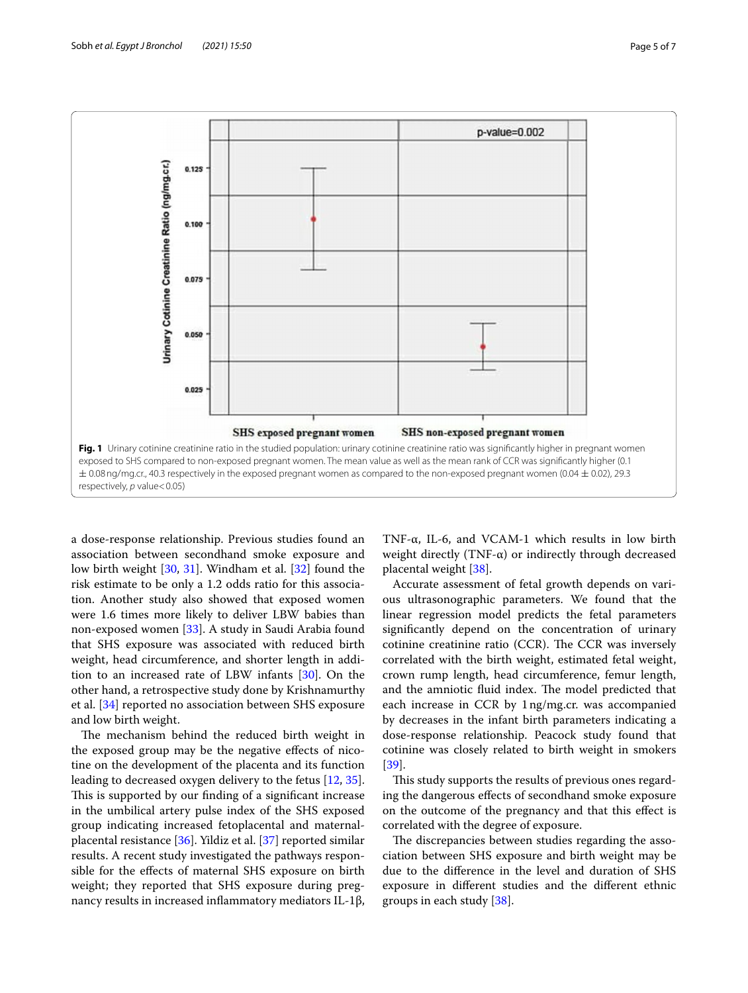

<span id="page-4-0"></span>a dose-response relationship. Previous studies found an association between secondhand smoke exposure and low birth weight [\[30,](#page-6-12) [31\]](#page-6-13). Windham et al. [\[32](#page-6-14)] found the risk estimate to be only a 1.2 odds ratio for this association. Another study also showed that exposed women were 1.6 times more likely to deliver LBW babies than non-exposed women [\[33](#page-6-15)]. A study in Saudi Arabia found that SHS exposure was associated with reduced birth weight, head circumference, and shorter length in addition to an increased rate of LBW infants [[30\]](#page-6-12). On the other hand, a retrospective study done by Krishnamurthy et al. [[34\]](#page-6-16) reported no association between SHS exposure and low birth weight.

The mechanism behind the reduced birth weight in the exposed group may be the negative efects of nicotine on the development of the placenta and its function leading to decreased oxygen delivery to the fetus [[12,](#page-5-15) [35](#page-6-17)]. This is supported by our finding of a significant increase in the umbilical artery pulse index of the SHS exposed group indicating increased fetoplacental and maternalplacental resistance [[36\]](#page-6-18). Yildiz et al. [\[37](#page-6-19)] reported similar results. A recent study investigated the pathways responsible for the efects of maternal SHS exposure on birth weight; they reported that SHS exposure during pregnancy results in increased infammatory mediators IL-1β,

TNF-α, IL-6, and VCAM-1 which results in low birth weight directly (TNF- $\alpha$ ) or indirectly through decreased placental weight [[38\]](#page-6-20).

Accurate assessment of fetal growth depends on various ultrasonographic parameters. We found that the linear regression model predicts the fetal parameters signifcantly depend on the concentration of urinary cotinine creatinine ratio (CCR). The CCR was inversely correlated with the birth weight, estimated fetal weight, crown rump length, head circumference, femur length, and the amniotic fluid index. The model predicted that each increase in CCR by 1ng/mg.cr. was accompanied by decreases in the infant birth parameters indicating a dose-response relationship. Peacock study found that cotinine was closely related to birth weight in smokers [[39\]](#page-6-21).

This study supports the results of previous ones regarding the dangerous efects of secondhand smoke exposure on the outcome of the pregnancy and that this efect is correlated with the degree of exposure.

The discrepancies between studies regarding the association between SHS exposure and birth weight may be due to the diference in the level and duration of SHS exposure in diferent studies and the diferent ethnic groups in each study [\[38](#page-6-20)].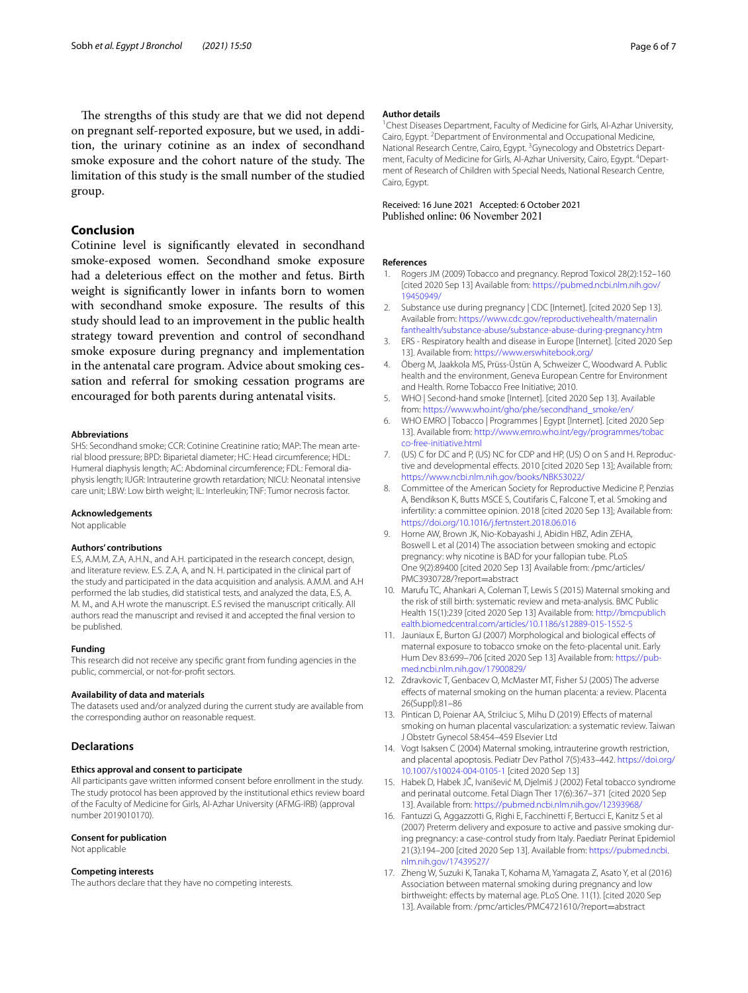## **Conclusion**

Cotinine level is signifcantly elevated in secondhand smoke-exposed women. Secondhand smoke exposure had a deleterious efect on the mother and fetus. Birth weight is signifcantly lower in infants born to women with secondhand smoke exposure. The results of this study should lead to an improvement in the public health strategy toward prevention and control of secondhand smoke exposure during pregnancy and implementation in the antenatal care program. Advice about smoking cessation and referral for smoking cessation programs are encouraged for both parents during antenatal visits.

#### **Abbreviations**

SHS: Secondhand smoke; CCR: Cotinine Creatinine ratio; MAP: The mean arterial blood pressure; BPD: Biparietal diameter; HC: Head circumference; HDL: Humeral diaphysis length; AC: Abdominal circumference; FDL: Femoral diaphysis length; IUGR: Intrauterine growth retardation; NICU: Neonatal intensive care unit; LBW: Low birth weight; IL: Interleukin; TNF: Tumor necrosis factor.

#### **Acknowledgements**

Not applicable

#### **Authors' contributions**

E.S, A.M.M, Z.A, A.H.N., and A.H. participated in the research concept, design, and literature review. E.S. Z.A, A, and N. H. participated in the clinical part of the study and participated in the data acquisition and analysis. A.M.M. and A.H performed the lab studies, did statistical tests, and analyzed the data, E.S, A. M. M., and A.H wrote the manuscript. E.S revised the manuscript critically. All authors read the manuscript and revised it and accepted the fnal version to be published.

#### **Funding**

This research did not receive any specifc grant from funding agencies in the public, commercial, or not-for-proft sectors.

#### **Availability of data and materials**

The datasets used and/or analyzed during the current study are available from the corresponding author on reasonable request.

#### **Declarations**

#### **Ethics approval and consent to participate**

All participants gave written informed consent before enrollment in the study. The study protocol has been approved by the institutional ethics review board of the Faculty of Medicine for Girls, Al-Azhar University (AFMG-IRB) (approval number 2019010170).

#### **Consent for publication**

Not applicable

#### **Competing interests**

The authors declare that they have no competing interests.

#### **Author details**

<sup>1</sup> Chest Diseases Department, Faculty of Medicine for Girls, Al-Azhar University, Cairo, Egypt. <sup>2</sup> Department of Environmental and Occupational Medicine, National Research Centre, Cairo, Egypt.<sup>3</sup> Gynecology and Obstetrics Department, Faculty of Medicine for Girls, Al-Azhar University, Cairo, Egypt. <sup>4</sup>Department of Research of Children with Special Needs, National Research Centre, Cairo, Egypt.

# Received: 16 June 2021 Accepted: 6 October 2021<br>Published online: 06 November 2021

#### **References**

- <span id="page-5-0"></span>1. Rogers JM (2009) Tobacco and pregnancy. Reprod Toxicol 28(2):152–160 [cited 2020 Sep 13] Available from: [https://pubmed.ncbi.nlm.nih.gov/](https://pubmed.ncbi.nlm.nih.gov/19450949/) [19450949/](https://pubmed.ncbi.nlm.nih.gov/19450949/)
- <span id="page-5-1"></span>2. Substance use during pregnancy | CDC [Internet]. [cited 2020 Sep 13]. Available from: [https://www.cdc.gov/reproductivehealth/maternalin](https://www.cdc.gov/reproductivehealth/maternalinfanthealth/substance-abuse/substance-abuse-during-pregnancy.htm) [fanthealth/substance-abuse/substance-abuse-during-pregnancy.htm](https://www.cdc.gov/reproductivehealth/maternalinfanthealth/substance-abuse/substance-abuse-during-pregnancy.htm)
- <span id="page-5-2"></span>3. ERS - Respiratory health and disease in Europe [Internet]. [cited 2020 Sep 13]. Available from: <https://www.erswhitebook.org/>
- <span id="page-5-3"></span>4. Öberg M, Jaakkola MS, Prüss-Üstün A, Schweizer C, Woodward A. Public health and the environment, Geneva European Centre for Environment and Health. Rome Tobacco Free Initiative; 2010.
- <span id="page-5-4"></span>5. WHO | Second-hand smoke [Internet]. [cited 2020 Sep 13]. Available from: [https://www.who.int/gho/phe/secondhand\\_smoke/en/](https://www.who.int/gho/phe/secondhand_smoke/en/)
- <span id="page-5-5"></span>6. WHO EMRO | Tobacco | Programmes | Egypt [Internet]. [cited 2020 Sep 13]. Available from: [http://www.emro.who.int/egy/programmes/tobac](http://www.emro.who.int/egy/programmes/tobacco-free-initiative.html) [co-free-initiative.html](http://www.emro.who.int/egy/programmes/tobacco-free-initiative.html)
- <span id="page-5-6"></span>7. (US) C for DC and P, (US) NC for CDP and HP, (US) O on S and H. Reproductive and developmental effects. 2010 [cited 2020 Sep 13]; Available from: <https://www.ncbi.nlm.nih.gov/books/NBK53022/>
- <span id="page-5-7"></span>8. Committee of the American Society for Reproductive Medicine P, Penzias A, Bendikson K, Butts MSCE S, Coutifaris C, Falcone T, et al. Smoking and infertility: a committee opinion. 2018 [cited 2020 Sep 13]; Available from: <https://doi.org/10.1016/j.fertnstert.2018.06.016>
- <span id="page-5-8"></span>9. Horne AW, Brown JK, Nio-Kobayashi J, Abidin HBZ, Adin ZEHA, Boswell L et al (2014) The association between smoking and ectopic pregnancy: why nicotine is BAD for your fallopian tube. PLoS One 9(2):89400 [cited 2020 Sep 13] Available from: /pmc/articles/ PMC3930728/?report=abstract
- <span id="page-5-9"></span>10. Marufu TC, Ahankari A, Coleman T, Lewis S (2015) Maternal smoking and the risk of still birth: systematic review and meta-analysis. BMC Public Health 15(1):239 [cited 2020 Sep 13] Available from: [http://bmcpublich](http://bmcpublichealth.biomedcentral.com/articles/10.1186/s12889-015-1552-5) [ealth.biomedcentral.com/articles/10.1186/s12889-015-1552-5](http://bmcpublichealth.biomedcentral.com/articles/10.1186/s12889-015-1552-5)
- <span id="page-5-10"></span>11. Jauniaux E, Burton GJ (2007) Morphological and biological efects of maternal exposure to tobacco smoke on the feto-placental unit. Early Hum Dev 83:699–706 [cited 2020 Sep 13] Available from: [https://pub](https://pubmed.ncbi.nlm.nih.gov/17900829/)[med.ncbi.nlm.nih.gov/17900829/](https://pubmed.ncbi.nlm.nih.gov/17900829/)
- <span id="page-5-15"></span>12. Zdravkovic T, Genbacev O, McMaster MT, Fisher SJ (2005) The adverse efects of maternal smoking on the human placenta: a review. Placenta 26(Suppl):81–86
- 13. Pintican D, Poienar AA, Strilciuc S, Mihu D (2019) Efects of maternal smoking on human placental vascularization: a systematic review. Taiwan J Obstetr Gynecol 58:454–459 Elsevier Ltd
- <span id="page-5-11"></span>14. Vogt Isaksen C (2004) Maternal smoking, intrauterine growth restriction, and placental apoptosis. Pediatr Dev Pathol 7(5):433–442. [https://doi.org/](https://doi.org/10.1007/s10024-004-0105-1) [10.1007/s10024-004-0105-1](https://doi.org/10.1007/s10024-004-0105-1) [cited 2020 Sep 13]
- <span id="page-5-12"></span>15. Habek D, Habek JČ, Ivanišević M, Djelmiš J (2002) Fetal tobacco syndrome and perinatal outcome. Fetal Diagn Ther 17(6):367–371 [cited 2020 Sep 13]. Available from: <https://pubmed.ncbi.nlm.nih.gov/12393968/>
- <span id="page-5-13"></span>16. Fantuzzi G, Aggazzotti G, Righi E, Facchinetti F, Bertucci E, Kanitz S et al (2007) Preterm delivery and exposure to active and passive smoking during pregnancy: a case-control study from Italy. Paediatr Perinat Epidemiol 21(3):194–200 [cited 2020 Sep 13]. Available from: [https://pubmed.ncbi.](https://pubmed.ncbi.nlm.nih.gov/17439527/) [nlm.nih.gov/17439527/](https://pubmed.ncbi.nlm.nih.gov/17439527/)
- <span id="page-5-14"></span>17. Zheng W, Suzuki K, Tanaka T, Kohama M, Yamagata Z, Asato Y, et al (2016) Association between maternal smoking during pregnancy and low birthweight: efects by maternal age. PLoS One. 11(1). [cited 2020 Sep 13]. Available from: /pmc/articles/PMC4721610/?report=abstract